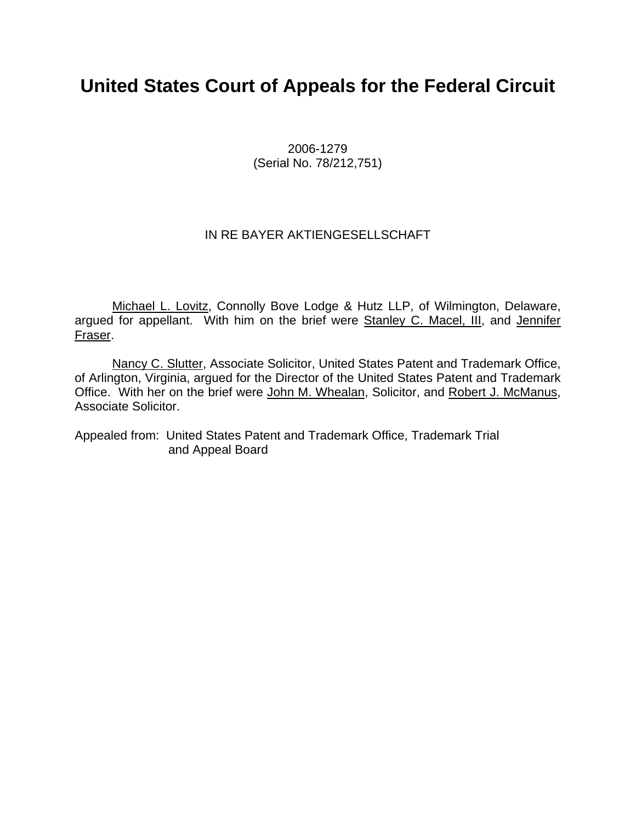# **United States Court of Appeals for the Federal Circuit**

2006-1279 (Serial No. 78/212,751)

## IN RE BAYER AKTIENGESELLSCHAFT

Michael L. Lovitz, Connolly Bove Lodge & Hutz LLP, of Wilmington, Delaware, argued for appellant. With him on the brief were Stanley C. Macel, III, and Jennifer Fraser.

Nancy C. Slutter, Associate Solicitor, United States Patent and Trademark Office, of Arlington, Virginia, argued for the Director of the United States Patent and Trademark Office. With her on the brief were John M. Whealan, Solicitor, and Robert J. McManus, Associate Solicitor.

Appealed from: United States Patent and Trademark Office, Trademark Trial and Appeal Board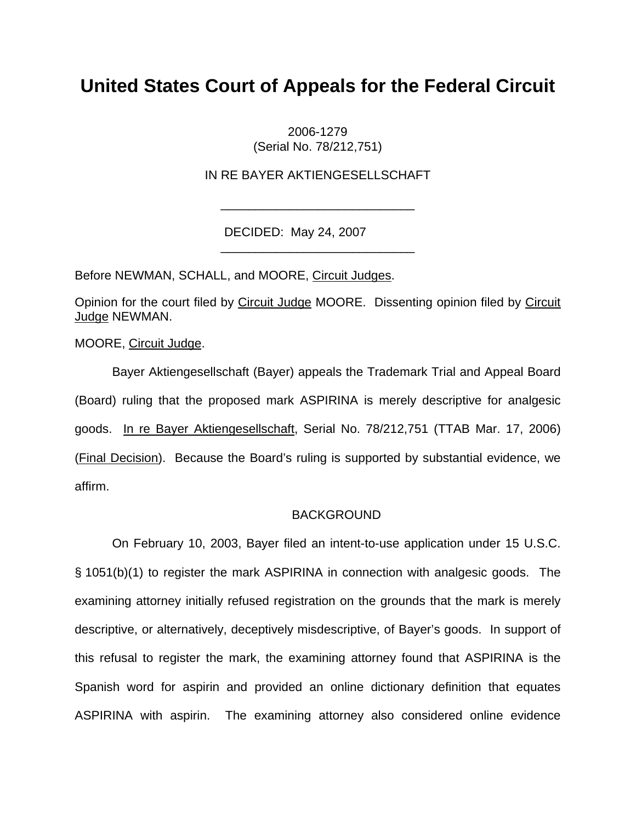# **United States Court of Appeals for the Federal Circuit**

2006-1279 (Serial No. 78/212,751)

IN RE BAYER AKTIENGESELLSCHAFT

\_\_\_\_\_\_\_\_\_\_\_\_\_\_\_\_\_\_\_\_\_\_\_\_\_\_\_\_

\_\_\_\_\_\_\_\_\_\_\_\_\_\_\_\_\_\_\_\_\_\_\_\_\_\_\_\_

DECIDED: May 24, 2007

Before NEWMAN, SCHALL, and MOORE, Circuit Judges.

Opinion for the court filed by Circuit Judge MOORE. Dissenting opinion filed by Circuit Judge NEWMAN.

MOORE, Circuit Judge.

Bayer Aktiengesellschaft (Bayer) appeals the Trademark Trial and Appeal Board (Board) ruling that the proposed mark ASPIRINA is merely descriptive for analgesic goods. In re Bayer Aktiengesellschaft, Serial No. 78/212,751 (TTAB Mar. 17, 2006) (Final Decision). Because the Board's ruling is supported by substantial evidence, we affirm.

#### BACKGROUND

On February 10, 2003, Bayer filed an intent-to-use application under 15 U.S.C. § 1051(b)(1) to register the mark ASPIRINA in connection with analgesic goods. The examining attorney initially refused registration on the grounds that the mark is merely descriptive, or alternatively, deceptively misdescriptive, of Bayer's goods. In support of this refusal to register the mark, the examining attorney found that ASPIRINA is the Spanish word for aspirin and provided an online dictionary definition that equates ASPIRINA with aspirin. The examining attorney also considered online evidence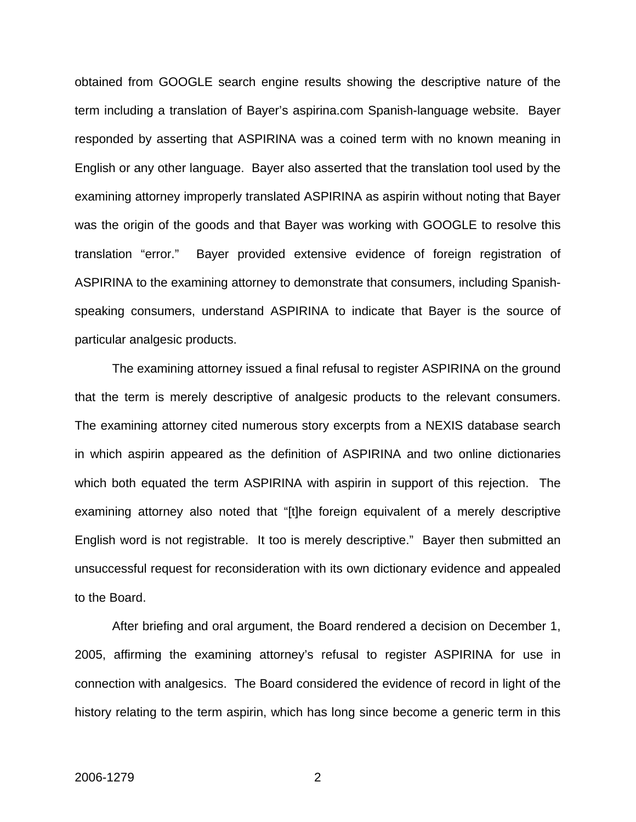obtained from GOOGLE search engine results showing the descriptive nature of the term including a translation of Bayer's aspirina.com Spanish-language website. Bayer responded by asserting that ASPIRINA was a coined term with no known meaning in English or any other language. Bayer also asserted that the translation tool used by the examining attorney improperly translated ASPIRINA as aspirin without noting that Bayer was the origin of the goods and that Bayer was working with GOOGLE to resolve this translation "error." Bayer provided extensive evidence of foreign registration of ASPIRINA to the examining attorney to demonstrate that consumers, including Spanishspeaking consumers, understand ASPIRINA to indicate that Bayer is the source of particular analgesic products.

The examining attorney issued a final refusal to register ASPIRINA on the ground that the term is merely descriptive of analgesic products to the relevant consumers. The examining attorney cited numerous story excerpts from a NEXIS database search in which aspirin appeared as the definition of ASPIRINA and two online dictionaries which both equated the term ASPIRINA with aspirin in support of this rejection. The examining attorney also noted that "[t]he foreign equivalent of a merely descriptive English word is not registrable. It too is merely descriptive." Bayer then submitted an unsuccessful request for reconsideration with its own dictionary evidence and appealed to the Board.

After briefing and oral argument, the Board rendered a decision on December 1, 2005, affirming the examining attorney's refusal to register ASPIRINA for use in connection with analgesics. The Board considered the evidence of record in light of the history relating to the term aspirin, which has long since become a generic term in this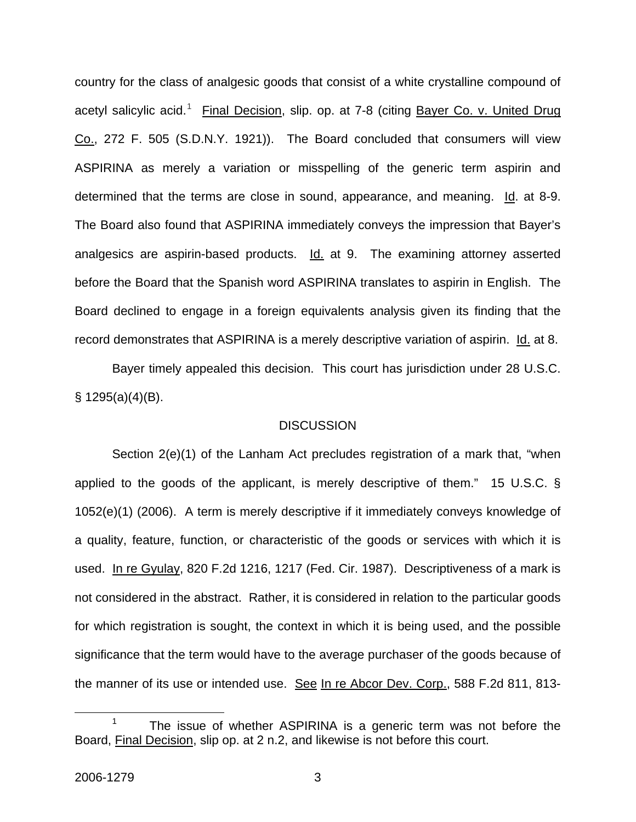country for the class of analgesic goods that consist of a white crystalline compound of acetyl salicylic acid.<sup>[1](#page-3-0)</sup> Final Decision, slip. op. at 7-8 (citing <u>Bayer Co. v. United Drug</u> Co., 272 F. 505 (S.D.N.Y. 1921)). The Board concluded that consumers will view ASPIRINA as merely a variation or misspelling of the generic term aspirin and determined that the terms are close in sound, appearance, and meaning. Id. at 8-9. The Board also found that ASPIRINA immediately conveys the impression that Bayer's analgesics are aspirin-based products. Id. at 9. The examining attorney asserted before the Board that the Spanish word ASPIRINA translates to aspirin in English. The Board declined to engage in a foreign equivalents analysis given its finding that the record demonstrates that ASPIRINA is a merely descriptive variation of aspirin. Id. at 8.

Bayer timely appealed this decision. This court has jurisdiction under 28 U.S.C. § 1295(a)(4)(B).

#### **DISCUSSION**

Section 2(e)(1) of the Lanham Act precludes registration of a mark that, "when applied to the goods of the applicant, is merely descriptive of them." 15 U.S.C. § 1052(e)(1) (2006). A term is merely descriptive if it immediately conveys knowledge of a quality, feature, function, or characteristic of the goods or services with which it is used. In re Gyulay, 820 F.2d 1216, 1217 (Fed. Cir. 1987). Descriptiveness of a mark is not considered in the abstract. Rather, it is considered in relation to the particular goods for which registration is sought, the context in which it is being used, and the possible significance that the term would have to the average purchaser of the goods because of the manner of its use or intended use. See In re Abcor Dev. Corp., 588 F.2d 811, 813-

<span id="page-3-0"></span> <sup>1</sup> The issue of whether ASPIRINA is a generic term was not before the Board, Final Decision, slip op. at 2 n.2, and likewise is not before this court.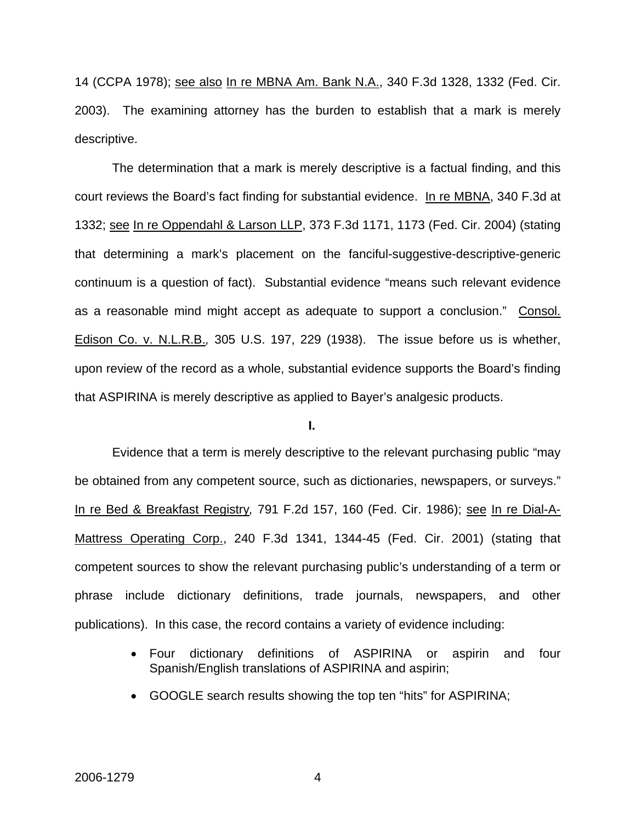14 (CCPA 1978); see also In re MBNA Am. Bank N.A., 340 F.3d 1328, 1332 (Fed. Cir. 2003). The examining attorney has the burden to establish that a mark is merely descriptive.

The determination that a mark is merely descriptive is a factual finding, and this court reviews the Board's fact finding for substantial evidence. In re MBNA, 340 F.3d at 1332; see In re Oppendahl & Larson LLP, 373 F.3d 1171, 1173 (Fed. Cir. 2004) (stating that determining a mark's placement on the fanciful-suggestive-descriptive-generic continuum is a question of fact). Substantial evidence "means such relevant evidence as a reasonable mind might accept as adequate to support a conclusion." Consol. Edison Co. v. N.L.R.B.*,* 305 U.S. 197, 229 (1938). The issue before us is whether, upon review of the record as a whole, substantial evidence supports the Board's finding that ASPIRINA is merely descriptive as applied to Bayer's analgesic products.

#### **I.**

Evidence that a term is merely descriptive to the relevant purchasing public "may be obtained from any competent source, such as dictionaries, newspapers, or surveys." In re Bed & Breakfast Registry*,* 791 F.2d 157, 160 (Fed. Cir. 1986); see In re Dial-A-Mattress Operating Corp., 240 F.3d 1341, 1344-45 (Fed. Cir. 2001) (stating that competent sources to show the relevant purchasing public's understanding of a term or phrase include dictionary definitions, trade journals, newspapers, and other publications). In this case, the record contains a variety of evidence including:

- Four dictionary definitions of ASPIRINA or aspirin and four Spanish/English translations of ASPIRINA and aspirin;
- GOOGLE search results showing the top ten "hits" for ASPIRINA;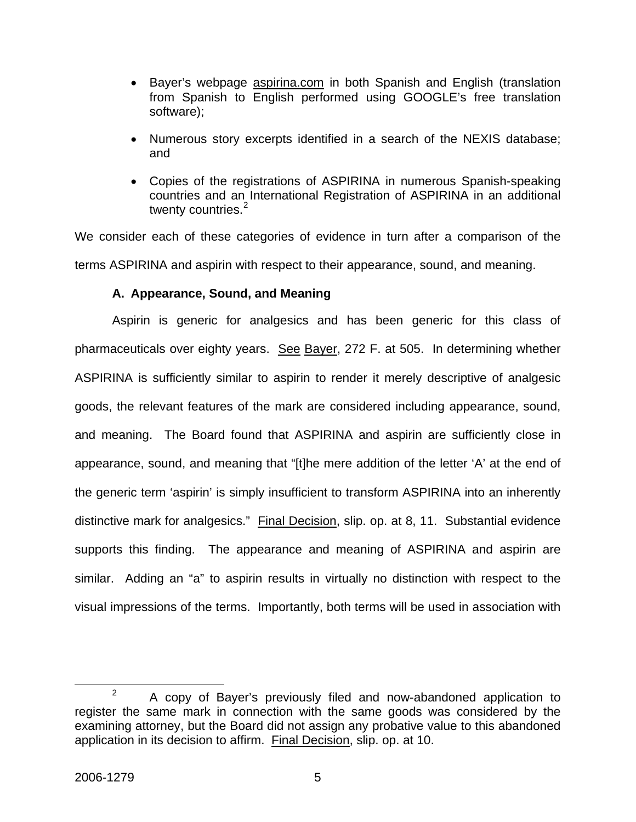- Bayer's webpage aspirina.com in both Spanish and English (translation from Spanish to English performed using GOOGLE's free translation software);
- Numerous story excerpts identified in a search of the NEXIS database; and
- Copies of the registrations of ASPIRINA in numerous Spanish-speaking countries and an International Registration of ASPIRINA in an additional twenty countries. $2$

We consider each of these categories of evidence in turn after a comparison of the terms ASPIRINA and aspirin with respect to their appearance, sound, and meaning.

## **A. Appearance, Sound, and Meaning**

Aspirin is generic for analgesics and has been generic for this class of pharmaceuticals over eighty years. See Bayer, 272 F. at 505. In determining whether ASPIRINA is sufficiently similar to aspirin to render it merely descriptive of analgesic goods, the relevant features of the mark are considered including appearance, sound, and meaning. The Board found that ASPIRINA and aspirin are sufficiently close in appearance, sound, and meaning that "[t]he mere addition of the letter 'A' at the end of the generic term 'aspirin' is simply insufficient to transform ASPIRINA into an inherently distinctive mark for analgesics." Final Decision, slip. op. at 8, 11. Substantial evidence supports this finding. The appearance and meaning of ASPIRINA and aspirin are similar. Adding an "a" to aspirin results in virtually no distinction with respect to the visual impressions of the terms. Importantly, both terms will be used in association with

<span id="page-5-0"></span> $\frac{1}{2}$  $P^2$  A copy of Bayer's previously filed and now-abandoned application to register the same mark in connection with the same goods was considered by the examining attorney, but the Board did not assign any probative value to this abandoned application in its decision to affirm. Final Decision, slip. op. at 10.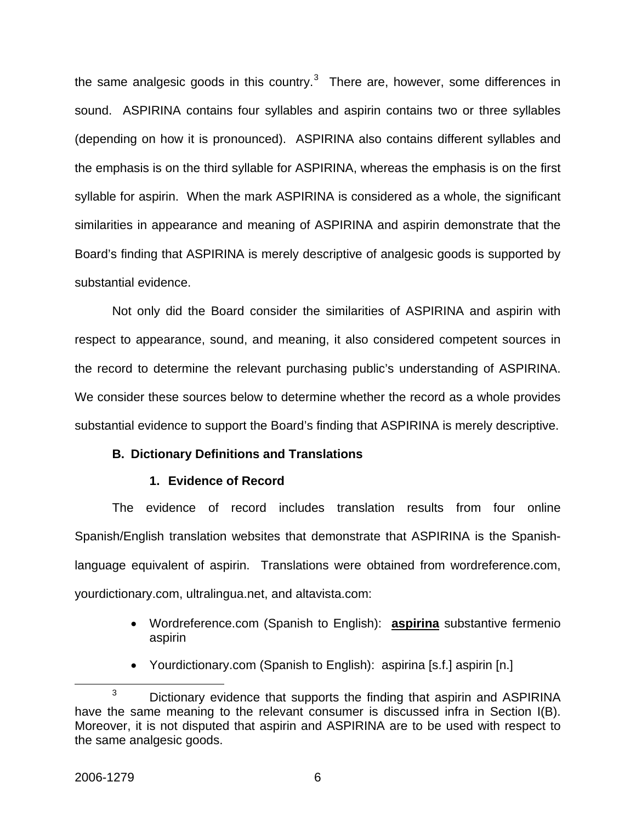the same analgesic goods in this country.<sup>[3](#page-6-0)</sup> There are, however, some differences in sound. ASPIRINA contains four syllables and aspirin contains two or three syllables (depending on how it is pronounced). ASPIRINA also contains different syllables and the emphasis is on the third syllable for ASPIRINA, whereas the emphasis is on the first syllable for aspirin. When the mark ASPIRINA is considered as a whole, the significant similarities in appearance and meaning of ASPIRINA and aspirin demonstrate that the Board's finding that ASPIRINA is merely descriptive of analgesic goods is supported by substantial evidence.

Not only did the Board consider the similarities of ASPIRINA and aspirin with respect to appearance, sound, and meaning, it also considered competent sources in the record to determine the relevant purchasing public's understanding of ASPIRINA. We consider these sources below to determine whether the record as a whole provides substantial evidence to support the Board's finding that ASPIRINA is merely descriptive.

### **B. Dictionary Definitions and Translations**

### **1. Evidence of Record**

The evidence of record includes translation results from four online Spanish/English translation websites that demonstrate that ASPIRINA is the Spanishlanguage equivalent of aspirin. Translations were obtained from wordreference.com, yourdictionary.com, ultralingua.net, and altavista.com:

- Wordreference.com (Spanish to English): **aspirina** substantive fermenio aspirin
- Yourdictionary.com (Spanish to English): aspirina [s.f.] aspirin [n.]

<span id="page-6-0"></span> $\overline{\phantom{a}}$  3  $3$  Dictionary evidence that supports the finding that aspirin and ASPIRINA have the same meaning to the relevant consumer is discussed infra in Section I(B). Moreover, it is not disputed that aspirin and ASPIRINA are to be used with respect to the same analgesic goods.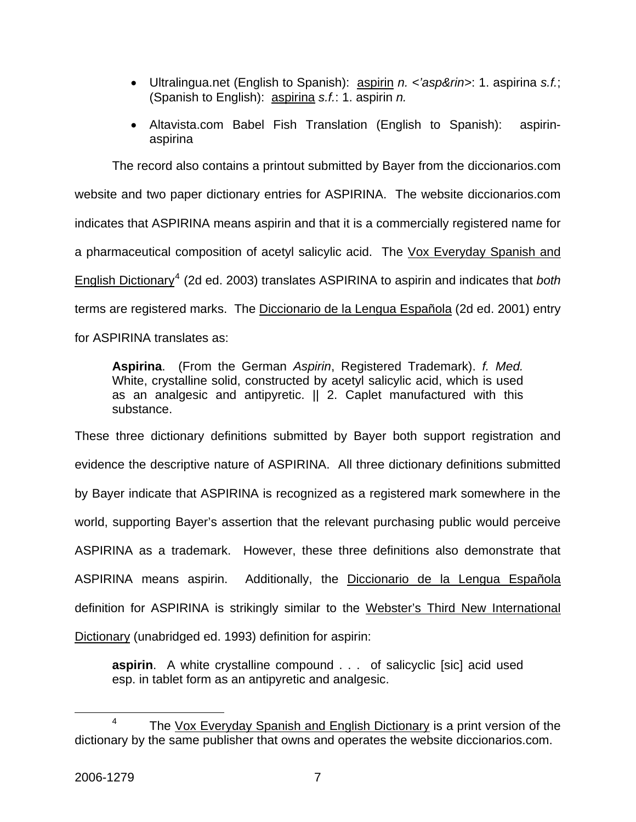- Ultralingua.net (English to Spanish): aspirin *n. <'asp&rin>*: 1. aspirina *s.f.*; (Spanish to English): aspirina *s.f.*: 1. aspirin *n.*
- Altavista.com Babel Fish Translation (English to Spanish): aspirinaspirina

The record also contains a printout submitted by Bayer from the diccionarios.com website and two paper dictionary entries for ASPIRINA. The website diccionarios.com indicates that ASPIRINA means aspirin and that it is a commercially registered name for a pharmaceutical composition of acetyl salicylic acid. The Vox Everyday Spanish and English Dictionary<sup>[4](#page-7-0)</sup> (2d ed. 2003) translates ASPIRINA to aspirin and indicates that *both* terms are registered marks. The Diccionario de la Lengua Española (2d ed. 2001) entry for ASPIRINA translates as:

**Aspirina**. (From the German *Aspirin*, Registered Trademark). *f. Med.* White, crystalline solid, constructed by acetyl salicylic acid, which is used as an analgesic and antipyretic.  $||$  2. Caplet manufactured with this substance.

These three dictionary definitions submitted by Bayer both support registration and evidence the descriptive nature of ASPIRINA. All three dictionary definitions submitted by Bayer indicate that ASPIRINA is recognized as a registered mark somewhere in the world, supporting Bayer's assertion that the relevant purchasing public would perceive ASPIRINA as a trademark. However, these three definitions also demonstrate that ASPIRINA means aspirin. Additionally, the Diccionario de la Lengua Española definition for ASPIRINA is strikingly similar to the Webster's Third New International Dictionary (unabridged ed. 1993) definition for aspirin:

**aspirin**. A white crystalline compound . . . of salicyclic [sic] acid used esp. in tablet form as an antipyretic and analgesic.

<span id="page-7-0"></span> $\overline{\phantom{a}}$  $4$  The Vox Everyday Spanish and English Dictionary is a print version of the dictionary by the same publisher that owns and operates the website diccionarios.com.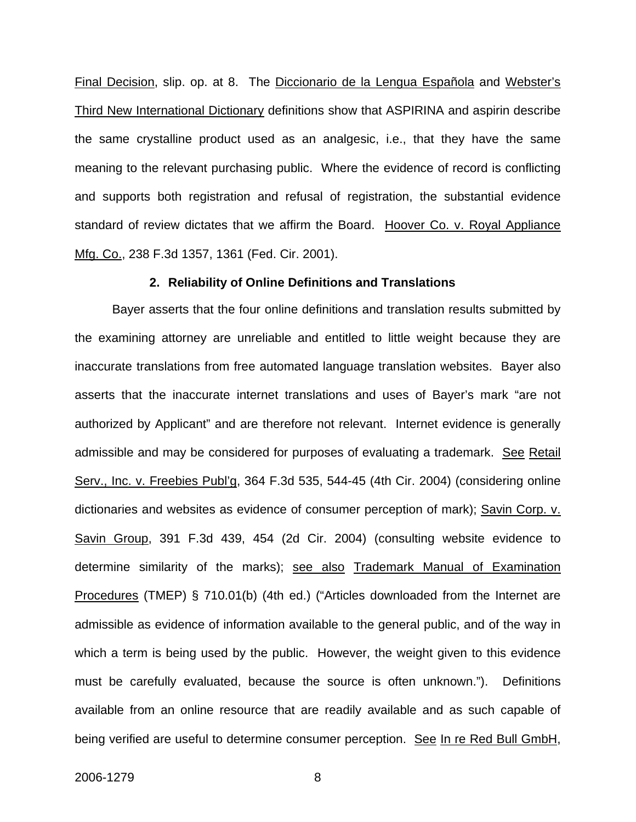Final Decision, slip. op. at 8. The Diccionario de la Lengua Española and Webster's Third New International Dictionary definitions show that ASPIRINA and aspirin describe the same crystalline product used as an analgesic, i.e., that they have the same meaning to the relevant purchasing public. Where the evidence of record is conflicting and supports both registration and refusal of registration, the substantial evidence standard of review dictates that we affirm the Board. Hoover Co. v. Royal Appliance Mfg. Co., 238 F.3d 1357, 1361 (Fed. Cir. 2001).

#### **2. Reliability of Online Definitions and Translations**

Bayer asserts that the four online definitions and translation results submitted by the examining attorney are unreliable and entitled to little weight because they are inaccurate translations from free automated language translation websites. Bayer also asserts that the inaccurate internet translations and uses of Bayer's mark "are not authorized by Applicant" and are therefore not relevant. Internet evidence is generally admissible and may be considered for purposes of evaluating a trademark. See Retail Serv., Inc. v. Freebies Publ'g, 364 F.3d 535, 544-45 (4th Cir. 2004) (considering online dictionaries and websites as evidence of consumer perception of mark); Savin Corp. v. Savin Group, 391 F.3d 439, 454 (2d Cir. 2004) (consulting website evidence to determine similarity of the marks); see also Trademark Manual of Examination Procedures (TMEP) § 710.01(b) (4th ed.) ("Articles downloaded from the Internet are admissible as evidence of information available to the general public, and of the way in which a term is being used by the public. However, the weight given to this evidence must be carefully evaluated, because the source is often unknown."). Definitions available from an online resource that are readily available and as such capable of being verified are useful to determine consumer perception. See In re Red Bull GmbH,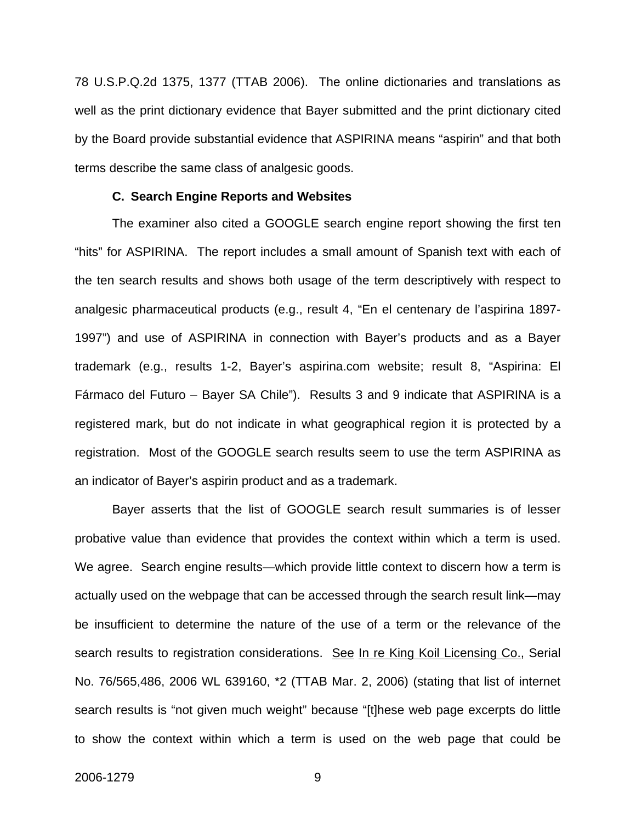78 U.S.P.Q.2d 1375, 1377 (TTAB 2006). The online dictionaries and translations as well as the print dictionary evidence that Bayer submitted and the print dictionary cited by the Board provide substantial evidence that ASPIRINA means "aspirin" and that both terms describe the same class of analgesic goods.

#### **C. Search Engine Reports and Websites**

The examiner also cited a GOOGLE search engine report showing the first ten "hits" for ASPIRINA. The report includes a small amount of Spanish text with each of the ten search results and shows both usage of the term descriptively with respect to analgesic pharmaceutical products (e.g., result 4, "En el centenary de l'aspirina 1897- 1997") and use of ASPIRINA in connection with Bayer's products and as a Bayer trademark (e.g., results 1-2, Bayer's aspirina.com website; result 8, "Aspirina: El Fármaco del Futuro – Bayer SA Chile"). Results 3 and 9 indicate that ASPIRINA is a registered mark, but do not indicate in what geographical region it is protected by a registration. Most of the GOOGLE search results seem to use the term ASPIRINA as an indicator of Bayer's aspirin product and as a trademark.

Bayer asserts that the list of GOOGLE search result summaries is of lesser probative value than evidence that provides the context within which a term is used. We agree. Search engine results—which provide little context to discern how a term is actually used on the webpage that can be accessed through the search result link—may be insufficient to determine the nature of the use of a term or the relevance of the search results to registration considerations. See In re King Koil Licensing Co., Serial No. 76/565,486, 2006 WL 639160, \*2 (TTAB Mar. 2, 2006) (stating that list of internet search results is "not given much weight" because "[t]hese web page excerpts do little to show the context within which a term is used on the web page that could be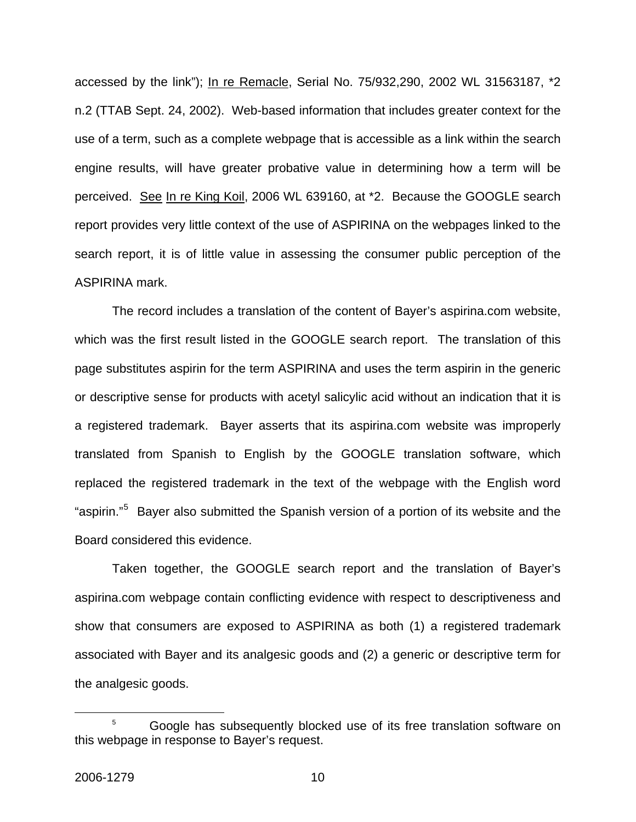accessed by the link"); In re Remacle, Serial No. 75/932,290, 2002 WL 31563187, \*2 n.2 (TTAB Sept. 24, 2002). Web-based information that includes greater context for the use of a term, such as a complete webpage that is accessible as a link within the search engine results, will have greater probative value in determining how a term will be perceived. See In re King Koil, 2006 WL 639160, at \*2. Because the GOOGLE search report provides very little context of the use of ASPIRINA on the webpages linked to the search report, it is of little value in assessing the consumer public perception of the ASPIRINA mark.

The record includes a translation of the content of Bayer's aspirina.com website, which was the first result listed in the GOOGLE search report. The translation of this page substitutes aspirin for the term ASPIRINA and uses the term aspirin in the generic or descriptive sense for products with acetyl salicylic acid without an indication that it is a registered trademark. Bayer asserts that its aspirina.com website was improperly translated from Spanish to English by the GOOGLE translation software, which replaced the registered trademark in the text of the webpage with the English word "aspirin."<sup>[5](#page-10-0)</sup> Bayer also submitted the Spanish version of a portion of its website and the Board considered this evidence.

Taken together, the GOOGLE search report and the translation of Bayer's aspirina.com webpage contain conflicting evidence with respect to descriptiveness and show that consumers are exposed to ASPIRINA as both (1) a registered trademark associated with Bayer and its analgesic goods and (2) a generic or descriptive term for the analgesic goods.

<span id="page-10-0"></span> $\overline{\phantom{a}}$  Google has subsequently blocked use of its free translation software on this webpage in response to Bayer's request.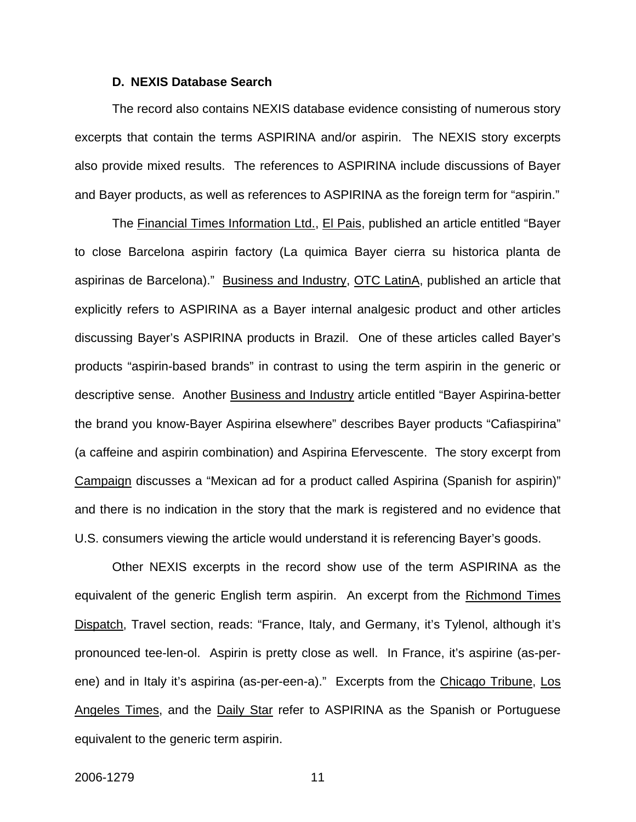#### **D. NEXIS Database Search**

The record also contains NEXIS database evidence consisting of numerous story excerpts that contain the terms ASPIRINA and/or aspirin.The NEXIS story excerpts also provide mixed results. The references to ASPIRINA include discussions of Bayer and Bayer products, as well as references to ASPIRINA as the foreign term for "aspirin."

The Financial Times Information Ltd., El Pais, published an article entitled "Bayer to close Barcelona aspirin factory (La quimica Bayer cierra su historica planta de aspirinas de Barcelona)." Business and Industry, OTC LatinA, published an article that explicitly refers to ASPIRINA as a Bayer internal analgesic product and other articles discussing Bayer's ASPIRINA products in Brazil. One of these articles called Bayer's products "aspirin-based brands" in contrast to using the term aspirin in the generic or descriptive sense. Another Business and Industry article entitled "Bayer Aspirina-better the brand you know-Bayer Aspirina elsewhere" describes Bayer products "Cafiaspirina" (a caffeine and aspirin combination) and Aspirina Efervescente. The story excerpt from Campaign discusses a "Mexican ad for a product called Aspirina (Spanish for aspirin)" and there is no indication in the story that the mark is registered and no evidence that U.S. consumers viewing the article would understand it is referencing Bayer's goods.

Other NEXIS excerpts in the record show use of the term ASPIRINA as the equivalent of the generic English term aspirin. An excerpt from the Richmond Times Dispatch, Travel section, reads: "France, Italy, and Germany, it's Tylenol, although it's pronounced tee-len-ol. Aspirin is pretty close as well. In France, it's aspirine (as-perene) and in Italy it's aspirina (as-per-een-a)." Excerpts from the Chicago Tribune, Los Angeles Times, and the Daily Star refer to ASPIRINA as the Spanish or Portuguese equivalent to the generic term aspirin.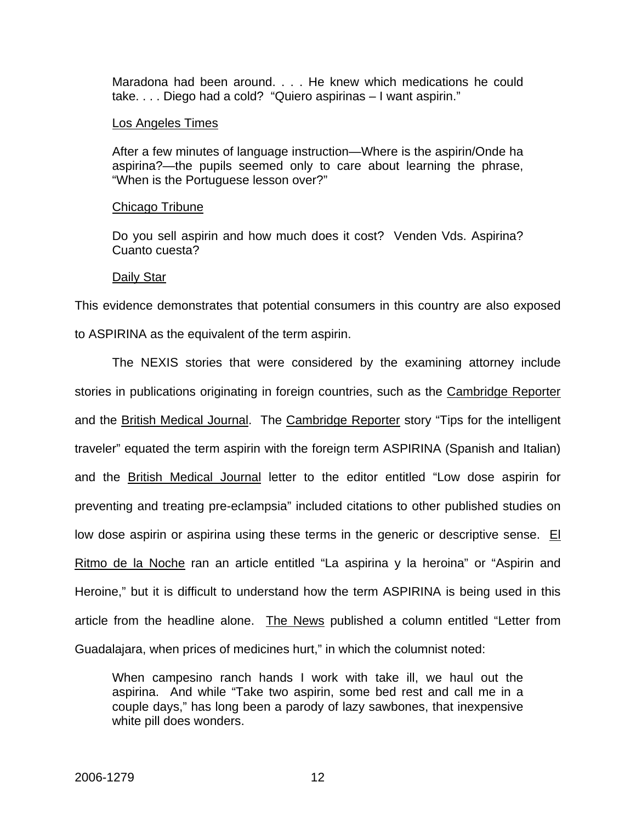Maradona had been around. . . . He knew which medications he could take. . . . Diego had a cold? "Quiero aspirinas – I want aspirin."

#### Los Angeles Times

After a few minutes of language instruction—Where is the aspirin/Onde ha aspirina?—the pupils seemed only to care about learning the phrase, "When is the Portuguese lesson over?"

#### Chicago Tribune

Do you sell aspirin and how much does it cost? Venden Vds. Aspirina? Cuanto cuesta?

#### Daily Star

This evidence demonstrates that potential consumers in this country are also exposed to ASPIRINA as the equivalent of the term aspirin.

The NEXIS stories that were considered by the examining attorney include stories in publications originating in foreign countries, such as the Cambridge Reporter and the British Medical Journal. The Cambridge Reporter story "Tips for the intelligent traveler" equated the term aspirin with the foreign term ASPIRINA (Spanish and Italian) and the British Medical Journal letter to the editor entitled "Low dose aspirin for preventing and treating pre-eclampsia" included citations to other published studies on low dose aspirin or aspirina using these terms in the generic or descriptive sense. El Ritmo de la Noche ran an article entitled "La aspirina y la heroina" or "Aspirin and Heroine," but it is difficult to understand how the term ASPIRINA is being used in this article from the headline alone. The News published a column entitled "Letter from Guadalajara, when prices of medicines hurt," in which the columnist noted:

When campesino ranch hands I work with take ill, we haul out the aspirina. And while "Take two aspirin, some bed rest and call me in a couple days," has long been a parody of lazy sawbones, that inexpensive white pill does wonders.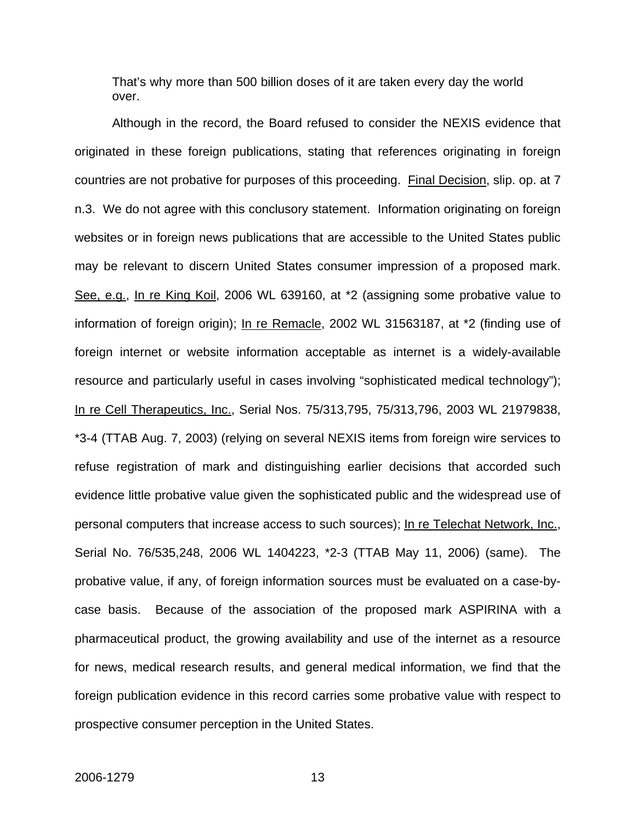That's why more than 500 billion doses of it are taken every day the world over.

Although in the record, the Board refused to consider the NEXIS evidence that originated in these foreign publications, stating that references originating in foreign countries are not probative for purposes of this proceeding. Final Decision, slip. op. at 7 n.3. We do not agree with this conclusory statement. Information originating on foreign websites or in foreign news publications that are accessible to the United States public may be relevant to discern United States consumer impression of a proposed mark. See, e.g., In re King Koil, 2006 WL 639160, at \*2 (assigning some probative value to information of foreign origin); In re Remacle, 2002 WL 31563187, at \*2 (finding use of foreign internet or website information acceptable as internet is a widely-available resource and particularly useful in cases involving "sophisticated medical technology"); In re Cell Therapeutics, Inc., Serial Nos. 75/313,795, 75/313,796, 2003 WL 21979838, \*3-4 (TTAB Aug. 7, 2003) (relying on several NEXIS items from foreign wire services to refuse registration of mark and distinguishing earlier decisions that accorded such evidence little probative value given the sophisticated public and the widespread use of personal computers that increase access to such sources); In re Telechat Network, Inc., Serial No. 76/535,248, 2006 WL 1404223, \*2-3 (TTAB May 11, 2006) (same). The probative value, if any, of foreign information sources must be evaluated on a case-bycase basis. Because of the association of the proposed mark ASPIRINA with a pharmaceutical product, the growing availability and use of the internet as a resource for news, medical research results, and general medical information, we find that the foreign publication evidence in this record carries some probative value with respect to prospective consumer perception in the United States.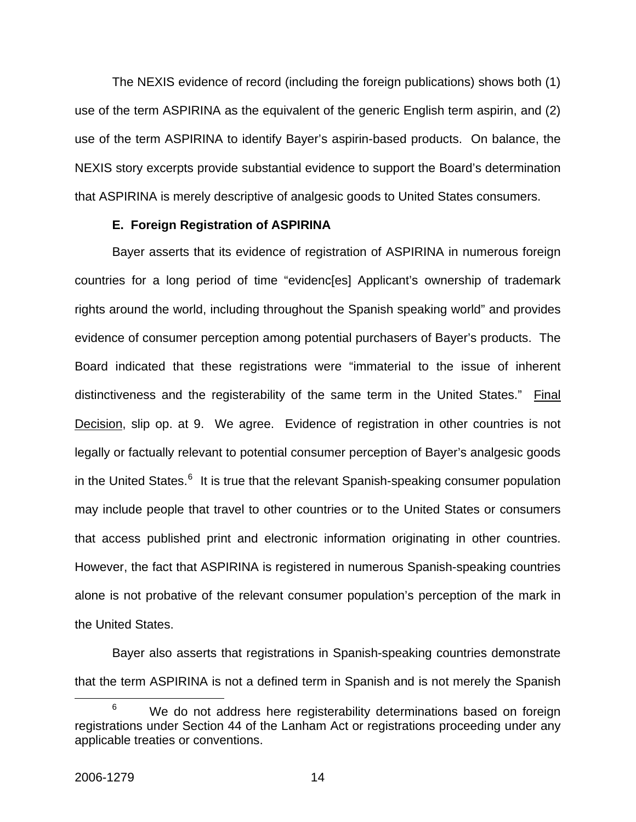The NEXIS evidence of record (including the foreign publications) shows both (1) use of the term ASPIRINA as the equivalent of the generic English term aspirin, and (2) use of the term ASPIRINA to identify Bayer's aspirin-based products. On balance, the NEXIS story excerpts provide substantial evidence to support the Board's determination that ASPIRINA is merely descriptive of analgesic goods to United States consumers.

### **E. Foreign Registration of ASPIRINA**

Bayer asserts that its evidence of registration of ASPIRINA in numerous foreign countries for a long period of time "evidenc[es] Applicant's ownership of trademark rights around the world, including throughout the Spanish speaking world" and provides evidence of consumer perception among potential purchasers of Bayer's products. The Board indicated that these registrations were "immaterial to the issue of inherent distinctiveness and the registerability of the same term in the United States." Final Decision, slip op. at 9. We agree. Evidence of registration in other countries is not legally or factually relevant to potential consumer perception of Bayer's analgesic goods in the United States.<sup>[6](#page-14-0)</sup> It is true that the relevant Spanish-speaking consumer population may include people that travel to other countries or to the United States or consumers that access published print and electronic information originating in other countries. However, the fact that ASPIRINA is registered in numerous Spanish-speaking countries alone is not probative of the relevant consumer population's perception of the mark in the United States.

Bayer also asserts that registrations in Spanish-speaking countries demonstrate that the term ASPIRINA is not a defined term in Spanish and is not merely the Spanish

<span id="page-14-0"></span> <sup>6</sup>  $6$  We do not address here registerability determinations based on foreign registrations under Section 44 of the Lanham Act or registrations proceeding under any applicable treaties or conventions.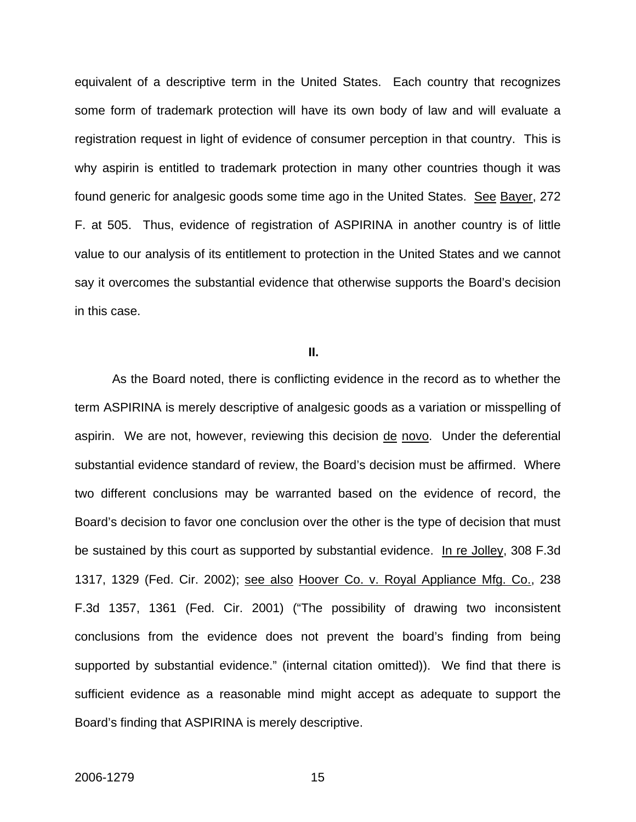equivalent of a descriptive term in the United States. Each country that recognizes some form of trademark protection will have its own body of law and will evaluate a registration request in light of evidence of consumer perception in that country. This is why aspirin is entitled to trademark protection in many other countries though it was found generic for analgesic goods some time ago in the United States. See Bayer, 272 F. at 505. Thus, evidence of registration of ASPIRINA in another country is of little value to our analysis of its entitlement to protection in the United States and we cannot say it overcomes the substantial evidence that otherwise supports the Board's decision in this case.

#### **II.**

As the Board noted, there is conflicting evidence in the record as to whether the term ASPIRINA is merely descriptive of analgesic goods as a variation or misspelling of aspirin. We are not, however, reviewing this decision de novo. Under the deferential substantial evidence standard of review, the Board's decision must be affirmed. Where two different conclusions may be warranted based on the evidence of record, the Board's decision to favor one conclusion over the other is the type of decision that must be sustained by this court as supported by substantial evidence. In re Jolley, 308 F.3d 1317, 1329 (Fed. Cir. 2002); see also Hoover Co. v. Royal Appliance Mfg. Co., 238 F.3d 1357, 1361 (Fed. Cir. 2001) ("The possibility of drawing two inconsistent conclusions from the evidence does not prevent the board's finding from being supported by substantial evidence." (internal citation omitted)). We find that there is sufficient evidence as a reasonable mind might accept as adequate to support the Board's finding that ASPIRINA is merely descriptive.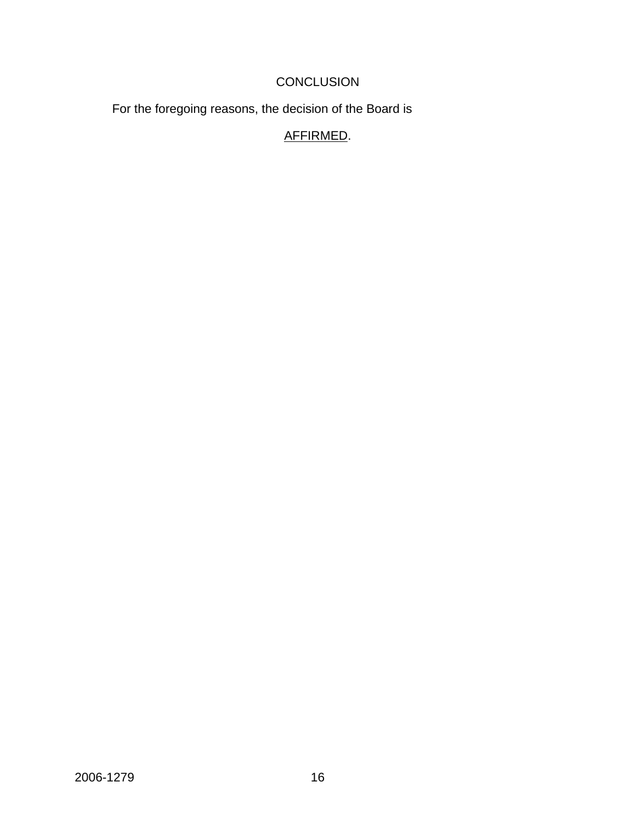# **CONCLUSION**

For the foregoing reasons, the decision of the Board is

# AFFIRMED.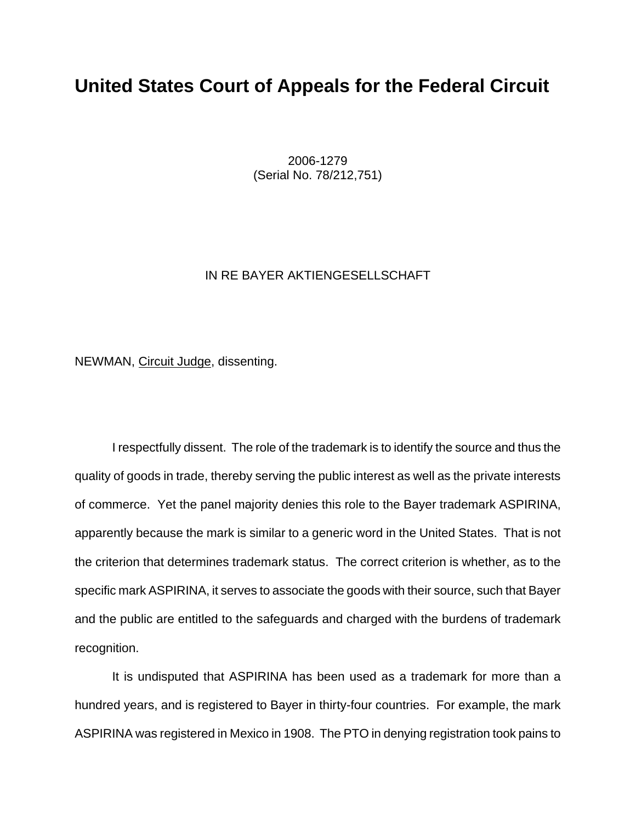# **United States Court of Appeals for the Federal Circuit**

 2006-1279 (Serial No. 78/212,751)

#### IN RE BAYER AKTIENGESELLSCHAFT

NEWMAN, Circuit Judge, dissenting.

I respectfully dissent. The role of the trademark is to identify the source and thus the quality of goods in trade, thereby serving the public interest as well as the private interests of commerce. Yet the panel majority denies this role to the Bayer trademark ASPIRINA, apparently because the mark is similar to a generic word in the United States. That is not the criterion that determines trademark status. The correct criterion is whether, as to the specific mark ASPIRINA, it serves to associate the goods with their source, such that Bayer and the public are entitled to the safeguards and charged with the burdens of trademark recognition.

It is undisputed that ASPIRINA has been used as a trademark for more than a hundred years, and is registered to Bayer in thirty-four countries. For example, the mark ASPIRINA was registered in Mexico in 1908. The PTO in denying registration took pains to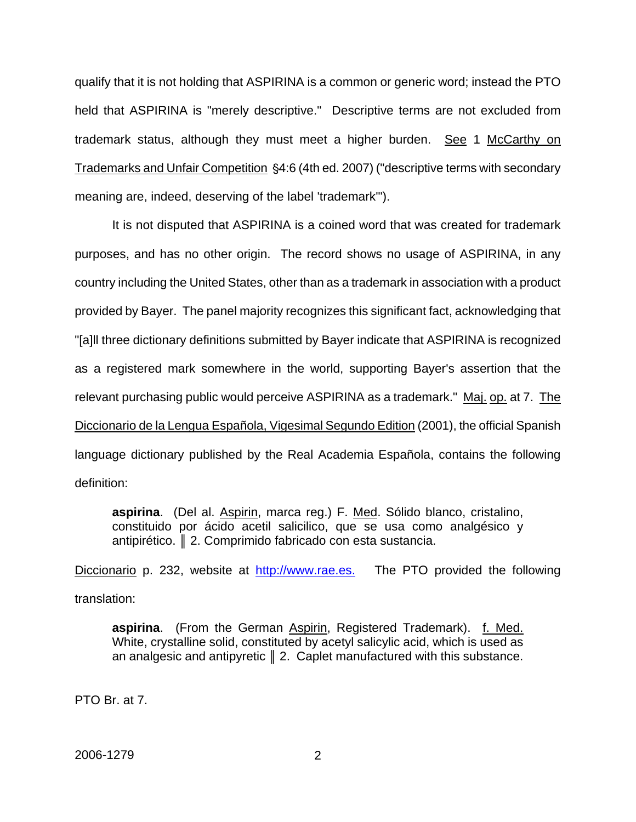qualify that it is not holding that ASPIRINA is a common or generic word; instead the PTO held that ASPIRINA is "merely descriptive." Descriptive terms are not excluded from trademark status, although they must meet a higher burden. See 1 McCarthy on Trademarks and Unfair Competition \\$4:6 (4th ed. 2007) ("descriptive terms with secondary meaning are, indeed, deserving of the label 'trademark'").

It is not disputed that ASPIRINA is a coined word that was created for trademark purposes, and has no other origin. The record shows no usage of ASPIRINA, in any country including the United States, other than as a trademark in association with a product provided by Bayer. The panel majority recognizes this significant fact, acknowledging that "[a]ll three dictionary definitions submitted by Bayer indicate that ASPIRINA is recognized as a registered mark somewhere in the world, supporting Bayer's assertion that the relevant purchasing public would perceive ASPIRINA as a trademark." Maj. op. at 7. The Diccionario de la Lengua Española, Vigesimal Segundo Edition (2001), the official Spanish language dictionary published by the Real Academia Española, contains the following definition:

**aspirina**. (Del al. Aspirin, marca reg.) F. Med. Sólido blanco, cristalino, constituido por ácido acetil salicilico, que se usa como analgésico y antipirético. ║ 2. Comprimido fabricado con esta sustancia.

Diccionario p. 232, website at http://www.rae.es. The PTO provided the following translation:

aspirina. (From the German Aspirin, Registered Trademark). f. Med. White, crystalline solid, constituted by acetyl salicylic acid, which is used as an analgesic and antipyretic  $\parallel$  2. Caplet manufactured with this substance.

PTO Br. at 7.

2006-1279 2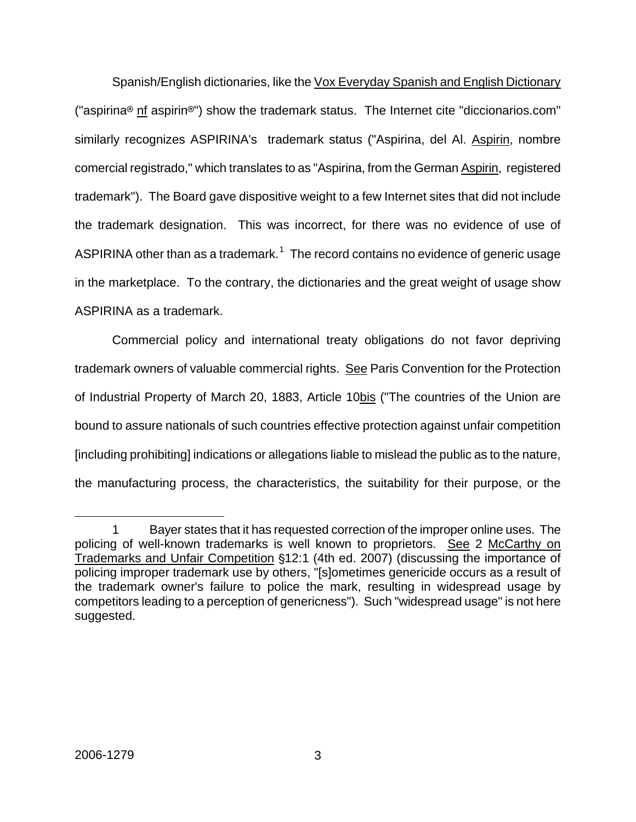Spanish/English dictionaries, like the Vox Everyday Spanish and English Dictionary ("aspirina<sup>®</sup> nf aspirin<sup>®</sup>") show the trademark status. The Internet cite "diccionarios.com" similarly recognizes ASPIRINA's trademark status ("Aspirina, del Al. Aspirin, nombre comercial registrado," which translates to as "Aspirina, from the German Aspirin, registered trademark"). The Board gave dispositive weight to a few Internet sites that did not include the trademark designation. This was incorrect, for there was no evidence of use of ASPIRINA other than as a trademark. $1$  The record contains no evidence of generic usage in the marketplace. To the contrary, the dictionaries and the great weight of usage show ASPIRINA as a trademark.

Commercial policy and international treaty obligations do not favor depriving trademark owners of valuable commercial rights. See Paris Convention for the Protection of Industrial Property of March 20, 1883, Article 10bis ("The countries of the Union are bound to assure nationals of such countries effective protection against unfair competition [including prohibiting] indications or allegations liable to mislead the public as to the nature, the manufacturing process, the characteristics, the suitability for their purpose, or the

<span id="page-19-0"></span> $\overline{a}$ 1 Bayer states that it has requested correction of the improper online uses. The policing of well-known trademarks is well known to proprietors. See 2 McCarthy on Trademarks and Unfair Competition §12:1 (4th ed. 2007) (discussing the importance of policing improper trademark use by others, "[s]ometimes genericide occurs as a result of the trademark owner's failure to police the mark, resulting in widespread usage by competitors leading to a perception of genericness"). Such "widespread usage" is not here suggested.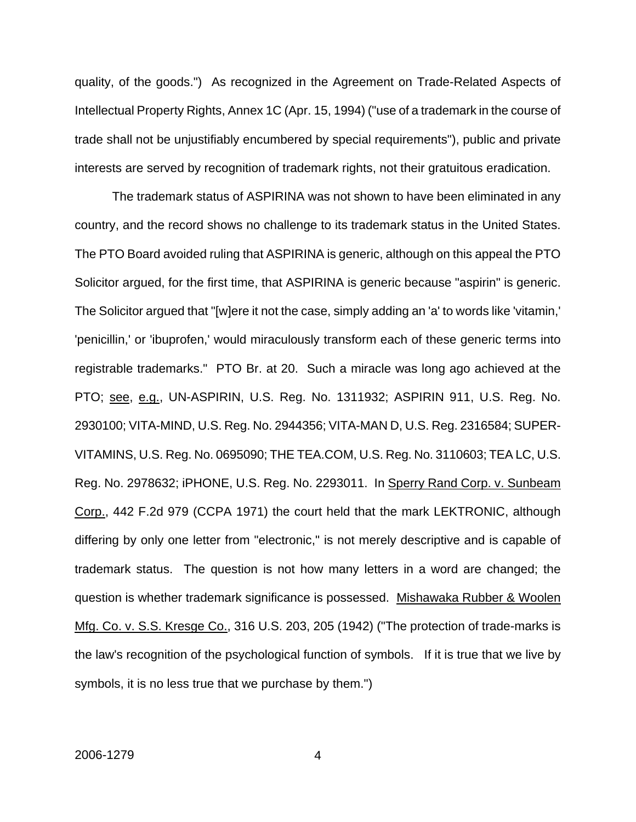quality, of the goods.") As recognized in the Agreement on Trade-Related Aspects of Intellectual Property Rights, Annex 1C (Apr. 15, 1994) ("use of a trademark in the course of trade shall not be unjustifiably encumbered by special requirements"), public and private interests are served by recognition of trademark rights, not their gratuitous eradication.

The trademark status of ASPIRINA was not shown to have been eliminated in any country, and the record shows no challenge to its trademark status in the United States. The PTO Board avoided ruling that ASPIRINA is generic, although on this appeal the PTO Solicitor argued, for the first time, that ASPIRINA is generic because "aspirin" is generic. The Solicitor argued that "[w]ere it not the case, simply adding an 'a' to words like 'vitamin,' 'penicillin,' or 'ibuprofen,' would miraculously transform each of these generic terms into registrable trademarks." PTO Br. at 20. Such a miracle was long ago achieved at the PTO; see, e.g., UN-ASPIRIN, U.S. Reg. No. 1311932; ASPIRIN 911, U.S. Reg. No. 2930100; VITA-MIND, U.S. Reg. No. 2944356; VITA-MAN D, U.S. Reg. 2316584; SUPER-VITAMINS, U.S. Reg. No. 0695090; THE TEA.COM, U.S. Reg. No. 3110603; TEA LC, U.S. Reg. No. 2978632; iPHONE, U.S. Reg. No. 2293011. In Sperry Rand Corp. v. Sunbeam Corp., 442 F.2d 979 (CCPA 1971) the court held that the mark LEKTRONIC, although differing by only one letter from "electronic," is not merely descriptive and is capable of trademark status. The question is not how many letters in a word are changed; the question is whether trademark significance is possessed. Mishawaka Rubber & Woolen Mfg. Co. v. S.S. Kresge Co., 316 U.S. 203, 205 (1942) ("The protection of trade-marks is the law's recognition of the psychological function of symbols. If it is true that we live by symbols, it is no less true that we purchase by them.")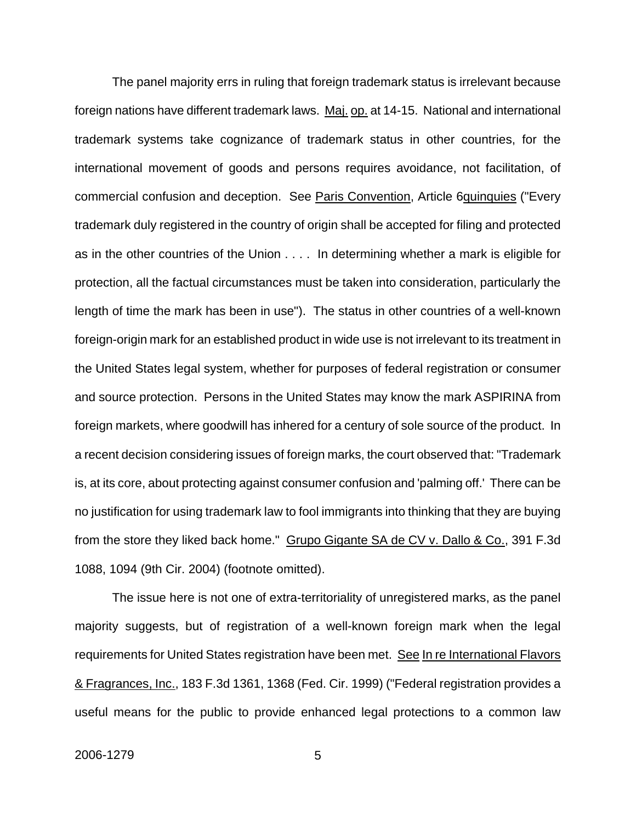The panel majority errs in ruling that foreign trademark status is irrelevant because foreign nations have different trademark laws. Maj. op. at 14-15. National and international trademark systems take cognizance of trademark status in other countries, for the international movement of goods and persons requires avoidance, not facilitation, of commercial confusion and deception. See Paris Convention, Article 6quinquies ("Every trademark duly registered in the country of origin shall be accepted for filing and protected as in the other countries of the Union . . . . In determining whether a mark is eligible for protection, all the factual circumstances must be taken into consideration, particularly the length of time the mark has been in use"). The status in other countries of a well-known foreign-origin mark for an established product in wide use is not irrelevant to its treatment in the United States legal system, whether for purposes of federal registration or consumer and source protection. Persons in the United States may know the mark ASPIRINA from foreign markets, where goodwill has inhered for a century of sole source of the product. In a recent decision considering issues of foreign marks, the court observed that: "Trademark is, at its core, about protecting against consumer confusion and 'palming off.' There can be no justification for using trademark law to fool immigrants into thinking that they are buying from the store they liked back home." Grupo Gigante SA de CV v. Dallo & Co., 391 F.3d 1088, 1094 (9th Cir. 2004) (footnote omitted).

The issue here is not one of extra-territoriality of unregistered marks, as the panel majority suggests, but of registration of a well-known foreign mark when the legal requirements for United States registration have been met. See In re International Flavors & Fragrances, Inc., 183 F.3d 1361, 1368 (Fed. Cir. 1999) ("Federal registration provides a useful means for the public to provide enhanced legal protections to a common law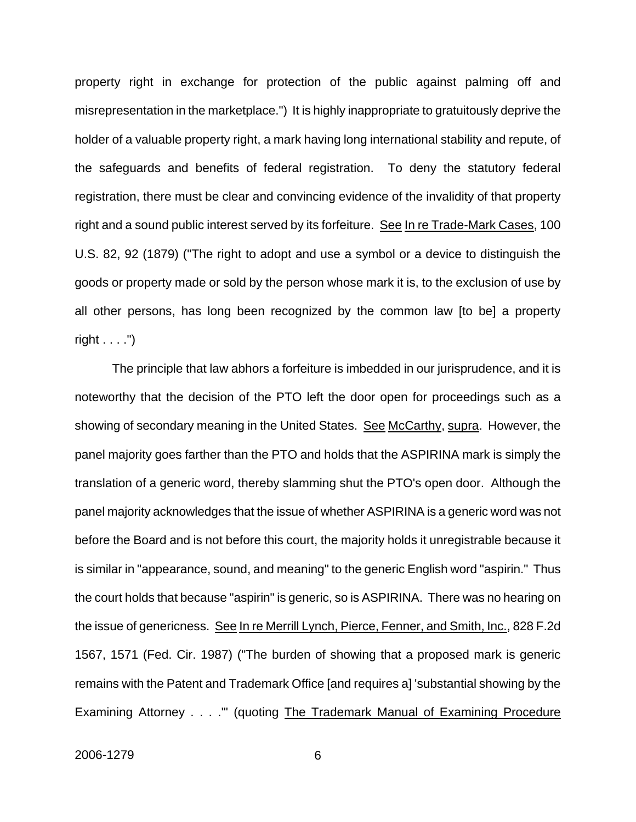property right in exchange for protection of the public against palming off and misrepresentation in the marketplace.") It is highly inappropriate to gratuitously deprive the holder of a valuable property right, a mark having long international stability and repute, of the safeguards and benefits of federal registration. To deny the statutory federal registration, there must be clear and convincing evidence of the invalidity of that property right and a sound public interest served by its forfeiture. See In re Trade-Mark Cases, 100 U.S. 82, 92 (1879) ("The right to adopt and use a symbol or a device to distinguish the goods or property made or sold by the person whose mark it is, to the exclusion of use by all other persons, has long been recognized by the common law [to be] a property right  $\dots$ .")

The principle that law abhors a forfeiture is imbedded in our jurisprudence, and it is noteworthy that the decision of the PTO left the door open for proceedings such as a showing of secondary meaning in the United States. See McCarthy, supra. However, the panel majority goes farther than the PTO and holds that the ASPIRINA mark is simply the translation of a generic word, thereby slamming shut the PTO's open door. Although the panel majority acknowledges that the issue of whether ASPIRINA is a generic word was not before the Board and is not before this court, the majority holds it unregistrable because it is similar in "appearance, sound, and meaning" to the generic English word "aspirin." Thus the court holds that because "aspirin" is generic, so is ASPIRINA. There was no hearing on the issue of genericness. See In re Merrill Lynch, Pierce, Fenner, and Smith, Inc., 828 F.2d 1567, 1571 (Fed. Cir. 1987) ("The burden of showing that a proposed mark is generic remains with the Patent and Trademark Office [and requires a] 'substantial showing by the Examining Attorney . . . . " (quoting The Trademark Manual of Examining Procedure